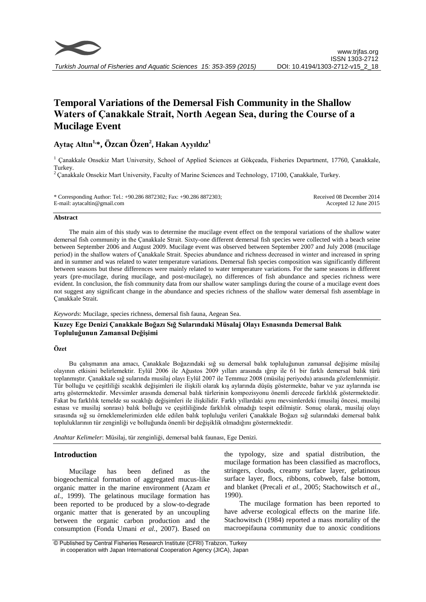

# **Temporal Variations of the Demersal Fish Community in the Shallow Waters of Çanakkale Strait, North Aegean Sea, during the Course of a Mucilage Event**

# **Aytaç Altın1, \*, Özcan Özen<sup>2</sup> , Hakan Ayyıldız<sup>1</sup>**

<sup>1</sup> Canakkale Onsekiz Mart University, School of Applied Sciences at Gökçeada, Fisheries Department, 17760, Çanakkale, Turkey.

<sup>2</sup> Çanakkale Onsekiz Mart University, Faculty of Marine Sciences and Technology, 17100, Çanakkale, Turkey.

| * Corresponding Author: Tel.: +90.286 8872302; Fax: +90.286 8872303; | Received 08 December 2014 |
|----------------------------------------------------------------------|---------------------------|
| E-mail: $aytacaltin@gmail.com$                                       | Accepted 12 June 2015     |

#### **Abstract**

The main aim of this study was to determine the mucilage event effect on the temporal variations of the shallow water demersal fish community in the Çanakkale Strait. Sixty-one different demersal fish species were collected with a beach seine between September 2006 and August 2009. Mucilage event was observed between September 2007 and July 2008 (mucilage period) in the shallow waters of Çanakkale Strait. Species abundance and richness decreased in winter and increased in spring and in summer and was related to water temperature variations. Demersal fish species composition was significantly different between seasons but these differences were mainly related to water temperature variations. For the same seasons in different years (pre-mucilage, during mucilage, and post-mucilage), no differences of fish abundance and species richness were evident. In conclusion, the fish community data from our shallow water samplings during the course of a mucilage event does not suggest any significant change in the abundance and species richness of the shallow water demersal fish assemblage in Çanakkale Strait.

*Keywords*: Mucilage, species richness, demersal fish fauna, Aegean Sea.

#### **Kuzey Ege Denizi Çanakkale Boğazı Sığ Sularındaki Müsalaj Olayı Esnasında Demersal Balık Topluluğunun Zamansal Değişimi**

#### **Özet**

Bu çalışmanın ana amacı, Çanakkale Boğazındaki sığ su demersal balık topluluğunun zamansal değişime müsilaj olayının etkisini belirlemektir. Eylül 2006 ile Ağustos 2009 yılları arasında ığrıp ile 61 bir farklı demersal balık türü toplanmıştır. Çanakkale sığ sularında musilaj olayı Eylül 2007 ile Temmuz 2008 (müsilaj periyodu) arasında gözlemlenmiştir. Tür bolluğu ve çeşitliliği sıcaklık değişimleri ile ilişkili olarak kış aylarında düşüş göstermekte, bahar ve yaz aylarında ise artış göstermektedir. Mevsimler arasında demersal balık türlerinin kompozisyonu önemli derecede farklılık göstermektedir. Fakat bu farklılık temelde su sıcaklığı değişimleri ile ilişkilidir. Farklı yıllardaki aynı mevsimlerdeki (musilaj öncesi, musilaj esnası ve musilaj sonrası) balık bolluğu ve çeşitliliğinde farklılık olmadığı tespit edilmiştir. Sonuç olarak, musilaj olayı sırasında sığ su örneklemelerimizden elde edilen balık topluluğu verileri Çanakkale Boğazı sığ sularındaki demersal balık topluluklarının tür zenginliği ve bolluğunda önemli bir değişiklik olmadığını göstermektedir.

*Anahtar Kelimeler*: Müsilaj, tür zenginliği, demersal balık faunası, Ege Denizi.

#### **Introduction**

Mucilage has been defined as the biogeochemical formation of aggregated mucus-like organic matter in the marine environment [\(Azam](#page-5-0) *et al.*[, 1999\)](#page-5-0). The gelatinous mucilage formation has been reported to be produced by a slow-to-degrade organic matter that is generated by an uncoupling between the organic carbon production and the consumption [\(Fonda Umani](#page-6-0) *et al.*, 2007). Based on the typology, size and spatial distribution, the mucilage formation has been classified as macroflocs, stringers, clouds, creamy surface layer, gelatinous surface layer, flocs, ribbons, cobweb, false bottom, and blanket [\(Precali](#page-6-1) *et al.*, 2005; [Stachowitsch](#page-6-2) *et al.*, [1990\)](#page-6-2).

The mucilage formation has been reported to have adverse ecological effects on the marine life. Stachowitsch [\(1984\)](#page-6-3) reported a mass mortality of the macroepifauna community due to anoxic conditions

<sup>©</sup> Published by Central Fisheries Research Institute (CFRI) Trabzon, Turkey in cooperation with Japan International Cooperation Agency (JICA), Japan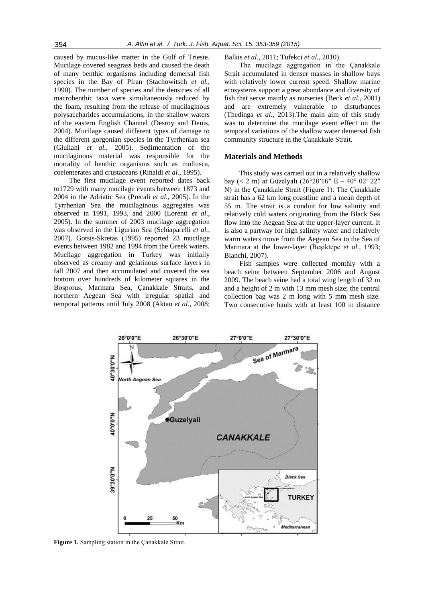caused by mucus-like matter in the Gulf of Trieste. Mucilage covered seagrass beds and caused the death of many benthic organisms including demersal fish species in the Bay of Piran [\(Stachowitsch](#page-6-2) *et al.*, [1990\)](#page-6-2). The number of species and the densities of all macrobenthic taxa were simultaneously reduced by the foam, resulting from the release of mucilaginous polysaccharides accumulations, in the shallow waters of the eastern English Channel [\(Desroy and Denis,](#page-6-4)  [2004\)](#page-6-4). Mucilage caused different types of damage to the different gorgonian species in the Tyrrhenian sea [\(Giuliani](#page-6-5) *et al.*, 2005). Sedimentation of the mucilaginous material was responsible for the mortality of benthic organisms such as mollusca, coelenterates and crustaceans [\(Rinaldi](#page-6-6) *et al.*, 1995).

The first mucilage event reported dates back to1729 with many mucilage events between 1873 and 2004 in the Adriatic Sea [\(Precali](#page-6-1) *et al.*, 2005). In the Tyrrhenian Sea the mucilaginous aggregates was observed in 1991, 1993, and 2000 (Lorenti *et al*., 2005). In the summer of 2003 mucilage aggregation was observed in the Ligurian Sea [\(Schiaparelli](#page-6-7) *et al.*, [2007\)](#page-6-7). [Gotsis-Skretas \(1995\)](#page-6-8) reported 23 mucilage events between 1982 and 1994 from the Greek waters. Mucilage aggregation in Turkey was initially observed as creamy and gelatinous surface layers in fall 2007 and then accumulated and covered the sea bottom over hundreds of kilometer squares in the Bosporus, Marmara Sea, Çanakkale Straits, and northern Aegean Sea with irregular spatial and temporal patterns until July 2008 (Aktan *et al.*[, 2008;](#page-5-1) Balkis *et al.*[, 2011;](#page-5-2) [Tufekci](#page-6-9) *et al.*, 2010).

The mucilage aggregation in the Çanakkale Strait accumulated in denser masses in shallow bays with relatively lower current speed. Shallow marine ecosystems support a great abundance and diversity of fish that serve mainly as nurseries (Beck *et al.*[, 2001\)](#page-5-3) and are extremely vulnerable to disturbances [\(Thedinga](#page-6-10) *et al.*, 2013).The main aim of this study was to determine the mucilage event effect on the temporal variations of the shallow water demersal fish community structure in the Çanakkale Strait.

#### **Materials and Methods**

This study was carried out in a relatively shallow bay (< 2 m) at Güzelyalı (26°20′16″ E – 40° 02′ 22″ N) in the Çanakkale Strait (Figure 1). The Çanakkale strait has a 62 km long coastline and a mean depth of 55 m. The strait is a conduit for low salinity and relatively cold waters originating from the Black Sea flow into the Aegean Sea at the upper-layer current. It is also a partway for high salinity water and relatively warm waters move from the Aegean Sea to the Sea of Marmara at the lower-layer [\(Beşiktepe](#page-5-4) *et al.*, 1993; [Bianchi, 2007\)](#page-6-11).

Fish samples were collected monthly with a beach seine between September 2006 and August 2009. The beach seine had a total wing length of 32 m and a height of 2 m with 13 mm mesh size; the central collection bag was 2 m long with 5 mm mesh size. Two consecutive hauls with at least 100 m distance



**Figure 1.** Sampling station in the Çanakkale Strait.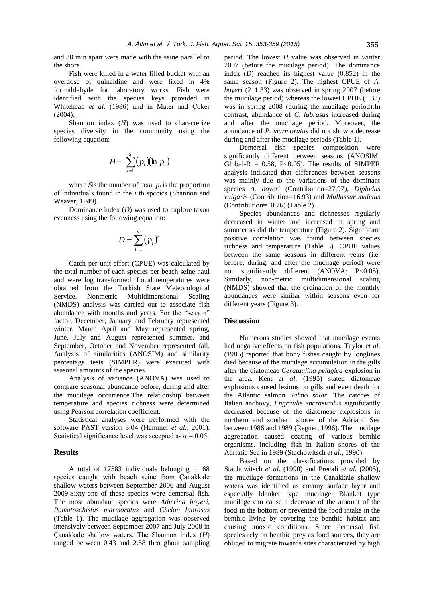and 30 min apart were made with the seine parallel to the shore.

Fish were killed in a water filled bucket with an overdose of quinaldine and were fixed in 4% formaldehyde for laboratory works. Fish were identified with the species keys provided in Whitehead *et al*. [\(1986\)](#page-6-12) and in Mater and Çoker [\(2004\)](#page-6-13).

Shannon index (*H*) was used to characterize species diversity in the community using the following equation:

$$
H=\sum_{i=1}^S(p_i)(\ln p_i)
$$

where *S* is the number of taxa,  $p_i$  is the proportion of individuals found in the *i*'th species [\(Shannon and](#page-6-14)  [Weaver, 1949\)](#page-6-14).

Dominance index (*D*) was used to explore taxon evenness using the following equation:

$$
D = \sum_{i=1}^S (p_i)^2
$$

Catch per unit effort (CPUE) was calculated by the total number of each species per beach seine haul and were log transformed. Local temperatures were obtained from the Turkish State Meteorological Service. Nonmetric Multidimensional Scaling (NMDS) analysis was carried out to associate fish abundance with months and years. For the "season" factor, December, January and February represented winter, March April and May represented spring, June, July and August represented summer, and September, October and November represented fall. Analysis of similarities (ANOSIM) and similarity percentage tests (SIMPER) were executed with seasonal amounts of the species.

Analysis of variance (ANOVA) was used to compare seasonal abundance before, during and after the mucilage occurrence.The relationship between temperature and species richness were determined using Pearson correlation coefficient.

Statistical analyses were performed with the software PAST version 3.04 [\(Hammer](#page-6-15) *et al.*, 2001). Statistical significance level was accepted as  $\alpha = 0.05$ .

#### **Results**

A total of 17583 individuals belonging to 68 species caught with beach seine from Çanakkale shallow waters between September 2006 and August 2009.Sixty-one of these species were demersal fish. The most abundant species were *Atherina boyeri, Pomatoschistus marmoratus* and *Chelon labrasus*  (Table 1). The mucilage aggregation was observed intensively between September 2007 and July 2008 in Çanakkale shallow waters. The Shannon index (*H*) ranged between 0.43 and 2.58 throughout sampling period. The lowest *H* value was observed in winter 2007 (before the mucilage period). The dominance index (*D*) reached its highest value (0.852) in the same season (Figure 2). The highest CPUE of *A. boyeri* (211.33) was observed in spring 2007 (before the mucilage period) whereas the lowest CPUE (1.33) was in spring 2008 (during the mucilage period).In contrast, abundance of *C. labrasus* increased during and after the mucilage period. Moreover, the abundance of *P. marmoratus* did not show a decrease during and after the mucilage periods (Table 1).

Demersal fish species composition were significantly different between seasons (ANOSIM; Global-R =  $0.58$ , P<0.05). The results of SIMPER analysis indicated that differences between seasons was mainly due to the variations of the dominant species *A. boyeri* (Contribution=27.97), *Diplodus vulgaris* (Contribution=16.93) and *Mullussur muletus* (Contribution=10.76) (Table 2).

Species abundances and richnesses regularly decreased in winter and increased in spring and summer as did the temperature (Figure 2). Significant positive correlation was found between species richness and temperature (Table 3). CPUE values between the same seasons in different years (i.e. before, during, and after the mucilage period) were not significantly different (ANOVA; P<0.05). Similarly, non-metric multidimensional scaling (NMDS) showed that the ordination of the monthly abundances were similar within seasons even for different years (Figure 3).

### **Discussion**

Numerous studies showed that mucilage events had negative effects on fish populations. [Taylor](#page-6-16) *et al.* (1985) reported that bony fishes caught by longlines died because of the mucilage accumulation in the gills after the diatomeae *Cerataulina pelagica* explosion in the area. Kent *et al*. [\(1995\)](#page-6-17) stated diatomeae explosions caused lesions on gills and even death for the Atlantic salmon *Salmo salar*. The catches of Italian anchovy, *Engraulis encrasicolus* significantly decreased because of the diatomeae explosions in northern and southern shores of the Adriatic Sea between 1986 and 1989 [\(Regner, 1996\)](#page-6-18). The mucilage aggregation caused coating of various benthic organisms, including fish in Italian shores of the Adriatic Sea in 1989 [\(Stachowitsch](#page-6-2) *et al.*, 1990).

Based on the classifications provided by [Stachowitsch](#page-6-2) *et al.* (1990) and Precali *et al.* [\(2005\)](#page-6-1), the mucilage formations in the Çanakkale shallow waters was identified as creamy surface layer and especially blanket type mucilage. Blanket type mucilage can cause a decrease of the amount of the food in the bottom or prevented the food intake in the benthic living by covering the benthic habitat and causing anoxic conditions. Since demersal fish species rely on benthic prey as food sources, they are obliged to migrate towards sites characterized by high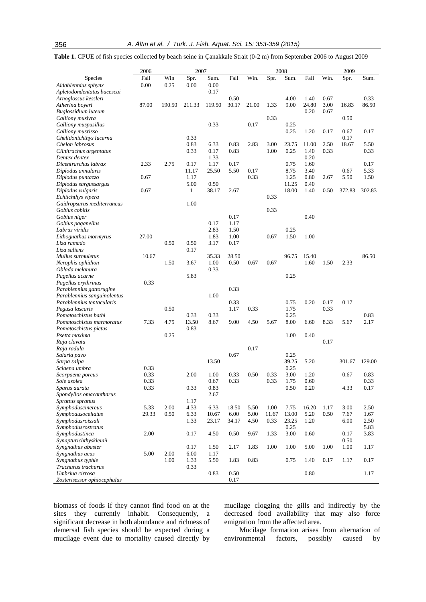**Table 1.** CPUE of fish species collected by beach seine in Çanakkale Strait (0-2 m) from September 2006 to August 2009

|                                     | 2006         |        | 2007         |        |       |       |       | 2008         |       |      | 2009   |          |
|-------------------------------------|--------------|--------|--------------|--------|-------|-------|-------|--------------|-------|------|--------|----------|
| Species                             | Fall         | Win    | Spr.         | Sum.   | Fall  | Win.  | Spr.  | Sum.         | Fall  | Win. | Spr.   | Sum.     |
| Aidablennius sphynx                 | 0.00         | 0.25   | 0.00         | 0.00   |       |       |       |              |       |      |        |          |
| Apletodondentatus bacescui          |              |        |              | 0.17   |       |       |       |              |       |      |        |          |
| Arnoglossus kessleri                |              |        |              |        | 0.50  |       |       | 4.00         | 1.40  | 0.67 |        | 0.33     |
| Atherina boyeri                     | 87.00        | 190.50 | 211.33       | 119.50 | 30.17 | 21.00 | 1.33  | 9.00         | 24.80 | 3.00 | 16.83  | 86.50    |
| Buglossidium luteum                 |              |        |              |        |       |       |       |              | 0.20  | 0.67 |        |          |
| Calliony muslyra                    |              |        |              |        |       |       | 0.33  |              |       |      | 0.50   |          |
| Calliony muspusillus                |              |        |              | 0.33   |       | 0.17  |       | 0.25         |       |      |        |          |
| Calliony musrisso                   |              |        |              |        |       |       |       | 0.25         | 1.20  | 0.17 | 0.67   | 0.17     |
| Chelidonichthys lucerna             |              |        | 0.33         |        |       |       |       |              |       |      | 0.17   |          |
| Chelon labrosus                     |              |        | 0.83         | 6.33   | 0.83  | 2.83  | 3.00  | 23.75        | 11.00 | 2.50 | 18.67  | 5.50     |
| Clinitrachus argentatus             |              |        | 0.33         | 0.17   | 0.83  |       | 1.00  | 0.25         | 1.40  | 0.33 |        | 0.33     |
| Dentex dentex                       |              |        |              | 1.33   |       |       |       |              | 0.20  |      |        |          |
| Dicentrarchus labrax                | 2.33         | 2.75   | 0.17         | 1.17   | 0.17  |       |       | 0.75         | 1.60  |      |        | 0.17     |
| Diplodus annularis                  |              |        | 11.17        | 25.50  | 5.50  | 0.17  |       | 8.75         | 3.40  |      | 0.67   | 5.33     |
| Diplodus puntazzo                   | 0.67         |        | 1.17         |        |       | 0.33  |       | 1.25         | 0.80  | 2.67 | 5.50   | 1.50     |
| Diplodus sargussargus               |              |        | 5.00         | 0.50   |       |       |       | 11.25        | 0.40  |      |        |          |
| Diplodus vulgaris                   | 0.67         |        | $\mathbf{1}$ | 38.17  | 2.67  |       |       | 18.00        | 1.40  | 0.50 | 372.83 | 302.83   |
| Echiichthys vipera                  |              |        |              |        |       |       | 0.33  |              |       |      |        |          |
| Gaidropsarus mediterraneus          |              |        | 1.00         |        |       |       |       |              |       |      |        |          |
| Gobius cobitis                      |              |        |              |        | 0.17  |       | 0.33  |              | 0.40  |      |        |          |
| Gobius niger                        |              |        |              | 0.17   | 1.17  |       |       |              |       |      |        |          |
| Gobius paganellus<br>Labrus viridis |              |        |              | 2.83   | 1.50  |       |       | 0.25         |       |      |        |          |
| Lithognathus mormyrus               | 27.00        |        |              | 1.83   | 1.00  |       | 0.67  | 1.50         | 1.00  |      |        |          |
| Liza ramado                         |              | 0.50   | 0.50         | 3.17   | 0.17  |       |       |              |       |      |        |          |
| Liza saliens                        |              |        | 0.17         |        |       |       |       |              |       |      |        |          |
| Mullus surmuletus                   | 10.67        |        |              | 35.33  | 28.50 |       |       | 96.75        | 15.40 |      |        | 86.50    |
| Nerophis ophidion                   |              | 1.50   | 3.67         | 1.00   | 0.50  | 0.67  | 0.67  |              | 1.60  | 1.50 | 2.33   |          |
| Oblada melanura                     |              |        |              | 0.33   |       |       |       |              |       |      |        |          |
| Pagellus acarne                     |              |        | 5.83         |        |       |       |       | 0.25         |       |      |        |          |
| Pagellus erythrinus                 | 0.33         |        |              |        |       |       |       |              |       |      |        |          |
| Parablennius gattorugine            |              |        |              |        | 0.33  |       |       |              |       |      |        |          |
| Parablennius sanguinolentus         |              |        |              | 1.00   |       |       |       |              |       |      |        |          |
| Parablennius tentacularis           |              |        |              |        | 0.33  |       |       | 0.75         | 0.20  | 0.17 | 0.17   |          |
| Pegusa lascaris                     |              | 0.50   |              |        | 1.17  | 0.33  |       | 1.75         |       | 0.33 |        |          |
| Pomatoschistus bathi                |              |        | 0.33         | 0.33   |       |       |       | 0.25         |       |      |        | 0.83     |
| Pomatoschistus marmoratus           | 7.33         | 4.75   | 13.50        | 8.67   | 9.00  | 4.50  | 5.67  | 8.00         | 6.60  | 8.33 | 5.67   | 2.17     |
| Pomatoschistus pictus               |              |        | 0.83         |        |       |       |       |              |       |      |        |          |
| Psetta maxima                       |              | 0.25   |              |        |       |       |       | 1.00         | 0.40  |      |        |          |
| Raja clavata                        |              |        |              |        |       |       |       |              |       | 0.17 |        |          |
| Raja radula                         |              |        |              |        |       | 0.17  |       |              |       |      |        |          |
| Salaria pavo                        |              |        |              |        | 0.67  |       |       | 0.25         |       |      |        |          |
| Sarpa salpa                         |              |        |              | 13.50  |       |       |       | 39.25        | 5.20  |      | 301.67 | 129.00   |
| Sciaena umbra                       | 0.33<br>0.33 |        | 2.00         | 1.00   | 0.33  | 0.50  | 0.33  | 0.25<br>3.00 | 1.20  |      | 0.67   | 0.83     |
| Scorpaena porcus<br>Sole asolea     | 0.33         |        |              | 0.67   | 0.33  |       | 0.33  | 1.75         | 0.60  |      |        | 0.33     |
| Sparus aurata                       | 0.33         |        | 0.33         | 0.83   |       |       |       | $0.50\,$     | 0.20  |      | 4.33   | $0.17\,$ |
| Spondylios omacantharus             |              |        |              | 2.67   |       |       |       |              |       |      |        |          |
| Sprattus sprattus                   |              |        | 1.17         |        |       |       |       |              |       |      |        |          |
| Symphoduscinereus                   | 5.33         | 2.00   | 4.33         | 6.33   | 18.50 | 5.50  | 1.00  | 7.75         | 16.20 | 1.17 | 3.00   | 2.50     |
| Symphodusocellatus                  | 29.33        | 0.50   | 6.33         | 10.67  | 6.00  | 5.00  | 11.67 | 13.00        | 5.20  | 0.50 | 7.67   | 1.67     |
| Symphodusroissali                   |              |        | 1.33         | 23.17  | 34.17 | 4.50  | 0.33  | 23.25        | 1.20  |      | 6.00   | 2.50     |
| Symphodusrostratus                  |              |        |              |        |       |       |       | 0.25         |       |      |        | 5.83     |
| Symphodustinca                      | 2.00         |        | 0.17         | 4.50   | 0.50  | 9.67  | 1.33  | 3.00         | 0.60  |      | 0.17   | 3.83     |
| Synapturichthyskleinii              |              |        |              |        |       |       |       |              |       |      | 0.50   |          |
| Syngnathus abaster                  |              |        | 0.17         | 1.50   | 2.17  | 1.83  | 1.00  | 1.00         | 5.00  | 1.00 | 1.00   | 1.17     |
| Syngnathus acus                     | 5.00         | 2.00   | 6.00         | 1.17   |       |       |       |              |       |      |        |          |
| Syngnathus typhle                   |              | 1.00   | 1.33         | 5.50   | 1.83  | 0.83  |       | 0.75         | 1.40  | 0.17 | 1.17   | 0.17     |
| Trachurus trachurus                 |              |        | 0.33         |        |       |       |       |              |       |      |        |          |
| Umbrina cirrosa                     |              |        |              | 0.83   | 0.50  |       |       |              | 0.80  |      |        | 1.17     |
| Zosterisessor ophiocephalus         |              |        |              |        | 0.17  |       |       |              |       |      |        |          |

biomass of foods if they cannot find food on at the sites they currently inhabit. Consequently, a significant decrease in both abundance and richness of demersal fish species should be expected during a mucilage event due to mortality caused directly by

mucilage clogging the gills and indirectly by the decreased food availability that may also force emigration from the affected area.

Mucilage formation arises from alternation of environmental factors, possibly caused by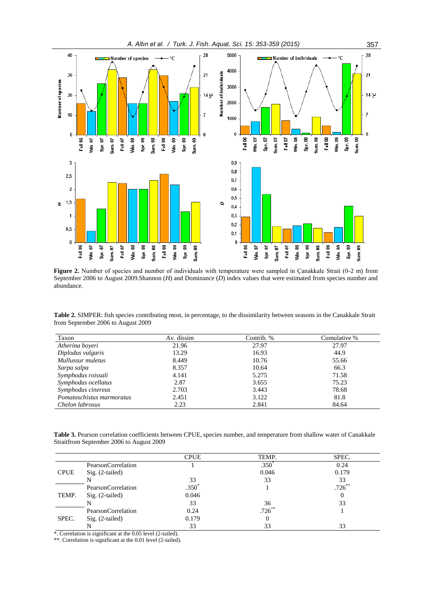

**Figure 2.** Number of species and number of individuals with temperature were sampled in Çanakkale Strait (0-2 m) from September 2006 to August 2009.Shannon (*H*) and Dominance (*D*) index values that were estimated from species number and abundance.

**Table 2.** SIMPER: fish species contributing most, in percentage, to the dissimilarity between seasons in the Canakkale Strait from September 2006 to August 2009

| Taxon                     | Av. dissim | Contrib. % | Cumulative % |
|---------------------------|------------|------------|--------------|
| Atherina boyeri           | 21.96      | 27.97      | 27.97        |
| Diplodus vulgaris         | 13.29      | 16.93      | 44.9         |
| Mullussur muletus         | 8.449      | 10.76      | 55.66        |
| Sarpa salpa               | 8.357      | 10.64      | 66.3         |
| Symphodus roissali        | 4.141      | 5.275      | 71.58        |
| Symphodus ocellatus       | 2.87       | 3.655      | 75.23        |
| Symphodus cinereus        | 2.703      | 3.443      | 78.68        |
| Pomatoschistus marmoratus | 2.451      | 3.122      | 81.8         |
| Chelon labrosus           | 2.23       | 2.841      | 84.64        |

**Table 3.** Pearson correlation coefficients between CPUE, species number, and temperature from shallow water of Canakkale Straitfrom September 2006 to August 2009

|             |                           | <b>CPUE</b> | TEMP.     | SPEC.     |
|-------------|---------------------------|-------------|-----------|-----------|
| <b>CPUE</b> | PearsonCorrelation        |             | .350      | 0.24      |
|             | $Sig. (2-tailed)$         |             | 0.046     | 0.179     |
|             |                           | 33          | 33        | 33        |
| TEMP.       | <b>PearsonCorrelation</b> | $.350*$     |           | $.726***$ |
|             | $Sig. (2-tailed)$         | 0.046       |           | 0         |
|             |                           | 33          | 36        | 33        |
| SPEC.       | <b>PearsonCorrelation</b> | 0.24        | $.726***$ |           |
|             | $Sig. (2-tailed)$         | 0.179       |           |           |
|             |                           | 33          | 33        | 33        |

\*. Correlation is significant at the 0.05 level (2-tailed).

\*\*. Correlation is significant at the 0.01 level (2-tailed).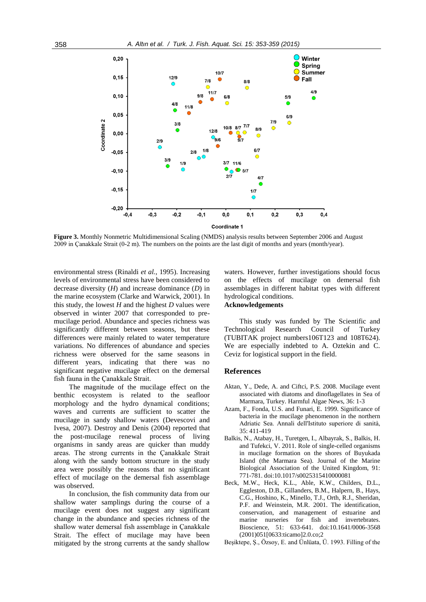

**Figure 3.** Monthly Nonmetric Multidimensional Scaling (NMDS) analysis results between September 2006 and August 2009 in Çanakkale Strait (0-2 m). The numbers on the points are the last digit of months and years (month/year).

environmental stress [\(Rinaldi](#page-6-6) *et al.*, 1995). Increasing levels of environmental stress have been considered to decrease diversity (*H*) and increase dominance (*D*) in the marine ecosystem [\(Clarke and Warwick, 2001\)](#page-6-19). In this study, the lowest  $H$  and the highest  $D$  values were observed in winter 2007 that corresponded to premucilage period. Abundance and species richness was significantly different between seasons, but these differences were mainly related to water temperature variations. No differences of abundance and species richness were observed for the same seasons in different years, indicating that there was no significant negative mucilage effect on the demersal fish fauna in the Çanakkale Strait.

The magnitude of the mucilage effect on the benthic ecosystem is related to the seafloor morphology and the hydro dynamical conditions; waves and currents are sufficient to scatter the mucilage in sandy shallow waters [\(Devescovi and](#page-6-20)  [Ivesa, 2007\)](#page-6-20). Destroy and Denis [\(2004\)](#page-6-4) reported that the post-mucilage renewal process of living organisms in sandy areas are quicker than muddy areas. The strong currents in the Çanakkale Strait along with the sandy bottom structure in the study area were possibly the reasons that no significant effect of mucilage on the demersal fish assemblage was observed.

In conclusion, the fish community data from our shallow water samplings during the course of a mucilage event does not suggest any significant change in the abundance and species richness of the shallow water demersal fish assemblage in Çanakkale Strait. The effect of mucilage may have been mitigated by the strong currents at the sandy shallow

waters. However, further investigations should focus on the effects of mucilage on demersal fish assemblages in different habitat types with different hydrological conditions.

## **Acknowledgements**

This study was funded by The Scientific and Technological Research Council of Turkey (TUBITAK project numbers106T123 and 108T624). We are especially indebted to A. Oztekin and C. Ceviz for logistical support in the field.

#### **References**

- <span id="page-5-1"></span>Aktan, Y., Dede, A. and Ciftci, P.S. 2008. Mucilage event associated with diatoms and dinoflagellates in Sea of Marmara, Turkey. Harmful Algae News, 36: 1-3
- <span id="page-5-0"></span>Azam, F., Fonda, U.S. and Funari, E. 1999. Significance of bacteria in the mucilage phenomenon in the northern Adriatic Sea. Annali dell'Istituto superiore di sanità, 35: 411-419
- <span id="page-5-2"></span>Balkis, N., Atabay, H., Turetgen, I., Albayrak, S., Balkis, H. and Tufekci, V. 2011. Role of single-celled organisms in mucilage formation on the shores of Buyukada Island (the Marmara Sea). Journal of the Marine Biological Association of the United Kingdom, 91: 771-781. doi:10.1017/s0025315410000081
- <span id="page-5-3"></span>Beck, M.W., Heck, K.L., Able, K.W., Childers, D.L., Eggleston, D.B., Gillanders, B.M., Halpern, B., Hays, C.G., Hoshino, K., Minello, T.J., Orth, R.J., Sheridan, P.F. and Weinstein, M.R. 2001. The identification, conservation, and management of estuarine and marine nurseries for fish and invertebrates. Bioscience, 51: 633-641. doi:10.1641/0006-3568 (2001)051[0633:ticamo]2.0.co;2
- <span id="page-5-4"></span>Beşiktepe, Ş., Özsoy, E. and Ünlüata, Ü. 1993. Filling of the